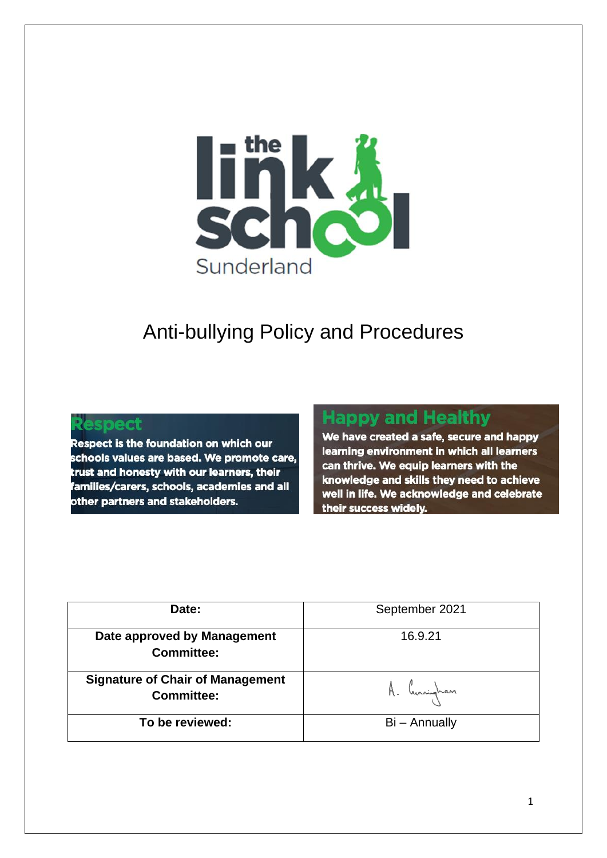

# Anti-bullying Policy and Procedures

#### Respect

Respect is the foundation on which our schools values are based. We promote care, trust and honesty with our learners, their families/carers, schools, academies and all other partners and stakeholders.

## **Happy and Healthy**

We have created a safe, secure and happy learning environment in which all learners can thrive. We equip learners with the knowledge and skills they need to achieve well in life. We acknowledge and celebrate their success widely.

| Date:                                                        | September 2021 |
|--------------------------------------------------------------|----------------|
| Date approved by Management<br><b>Committee:</b>             | 16.9.21        |
| <b>Signature of Chair of Management</b><br><b>Committee:</b> | A. Cunningham  |
| To be reviewed:                                              | Bi - Annually  |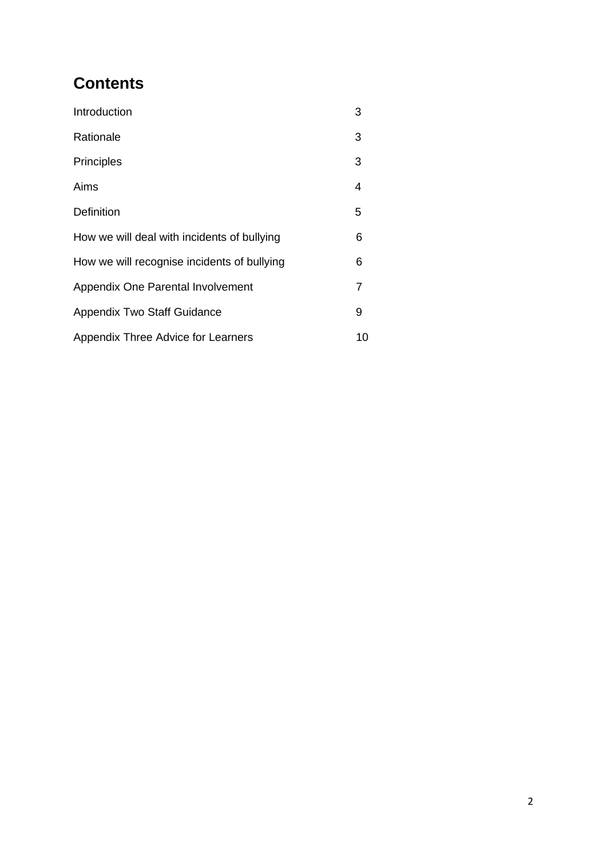## **Contents**

| Introduction                                | 3  |
|---------------------------------------------|----|
| Rationale                                   | 3  |
| <b>Principles</b>                           | 3  |
| Aims                                        | 4  |
| <b>Definition</b>                           | 5  |
| How we will deal with incidents of bullying | 6  |
| How we will recognise incidents of bullying | 6  |
| Appendix One Parental Involvement           | 7  |
| <b>Appendix Two Staff Guidance</b>          | 9  |
| Appendix Three Advice for Learners          | 10 |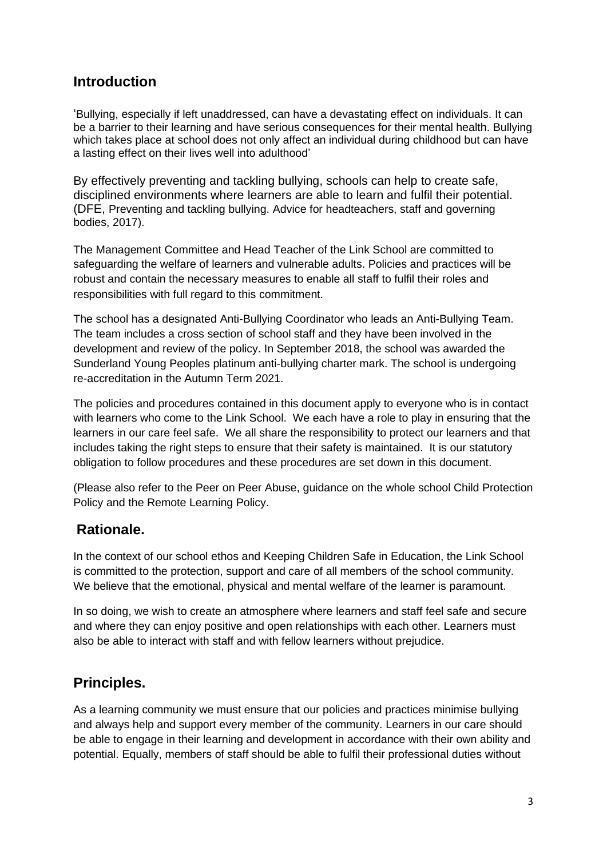## **Introduction**

'Bullying, especially if left unaddressed, can have a devastating effect on individuals. It can be a barrier to their learning and have serious consequences for their mental health. Bullying which takes place at school does not only affect an individual during childhood but can have a lasting effect on their lives well into adulthood'

By effectively preventing and tackling bullying, schools can help to create safe, disciplined environments where learners are able to learn and fulfil their potential. (DFE, Preventing and tackling bullying. Advice for headteachers, staff and governing bodies, 2017).

The Management Committee and Head Teacher of the Link School are committed to safeguarding the welfare of learners and vulnerable adults. Policies and practices will be robust and contain the necessary measures to enable all staff to fulfil their roles and responsibilities with full regard to this commitment.

The school has a designated Anti-Bullying Coordinator who leads an Anti-Bullying Team. The team includes a cross section of school staff and they have been involved in the development and review of the policy. In September 2018, the school was awarded the Sunderland Young Peoples platinum anti-bullying charter mark. The school is undergoing re-accreditation in the Autumn Term 2021.

The policies and procedures contained in this document apply to everyone who is in contact with learners who come to the Link School. We each have a role to play in ensuring that the learners in our care feel safe. We all share the responsibility to protect our learners and that includes taking the right steps to ensure that their safety is maintained. It is our statutory obligation to follow procedures and these procedures are set down in this document.

(Please also refer to the Peer on Peer Abuse, guidance on the whole school Child Protection Policy and the Remote Learning Policy.

## **Rationale.**

In the context of our school ethos and Keeping Children Safe in Education, the Link School is committed to the protection, support and care of all members of the school community. We believe that the emotional, physical and mental welfare of the learner is paramount.

In so doing, we wish to create an atmosphere where learners and staff feel safe and secure and where they can enjoy positive and open relationships with each other. Learners must also be able to interact with staff and with fellow learners without prejudice.

## **Principles.**

As a learning community we must ensure that our policies and practices minimise bullying and always help and support every member of the community. Learners in our care should be able to engage in their learning and development in accordance with their own ability and potential. Equally, members of staff should be able to fulfil their professional duties without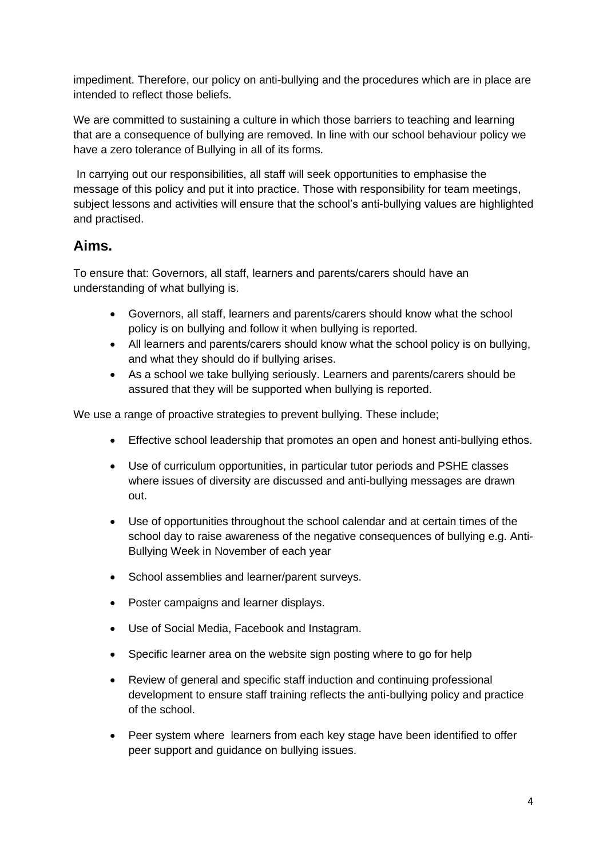impediment. Therefore, our policy on anti-bullying and the procedures which are in place are intended to reflect those beliefs.

We are committed to sustaining a culture in which those barriers to teaching and learning that are a consequence of bullying are removed. In line with our school behaviour policy we have a zero tolerance of Bullying in all of its forms.

In carrying out our responsibilities, all staff will seek opportunities to emphasise the message of this policy and put it into practice. Those with responsibility for team meetings, subject lessons and activities will ensure that the school's anti-bullying values are highlighted and practised.

### **Aims.**

To ensure that: Governors, all staff, learners and parents/carers should have an understanding of what bullying is.

- Governors, all staff, learners and parents/carers should know what the school policy is on bullying and follow it when bullying is reported.
- All learners and parents/carers should know what the school policy is on bullying, and what they should do if bullying arises.
- As a school we take bullying seriously. Learners and parents/carers should be assured that they will be supported when bullying is reported.

We use a range of proactive strategies to prevent bullying. These include;

- Effective school leadership that promotes an open and honest anti-bullying ethos.
- Use of curriculum opportunities, in particular tutor periods and PSHE classes where issues of diversity are discussed and anti-bullying messages are drawn out.
- Use of opportunities throughout the school calendar and at certain times of the school day to raise awareness of the negative consequences of bullying e.g. Anti-Bullying Week in November of each year
- School assemblies and learner/parent surveys.
- Poster campaigns and learner displays.
- Use of Social Media, Facebook and Instagram.
- Specific learner area on the website sign posting where to go for help
- Review of general and specific staff induction and continuing professional development to ensure staff training reflects the anti-bullying policy and practice of the school.
- Peer system where learners from each key stage have been identified to offer peer support and guidance on bullying issues.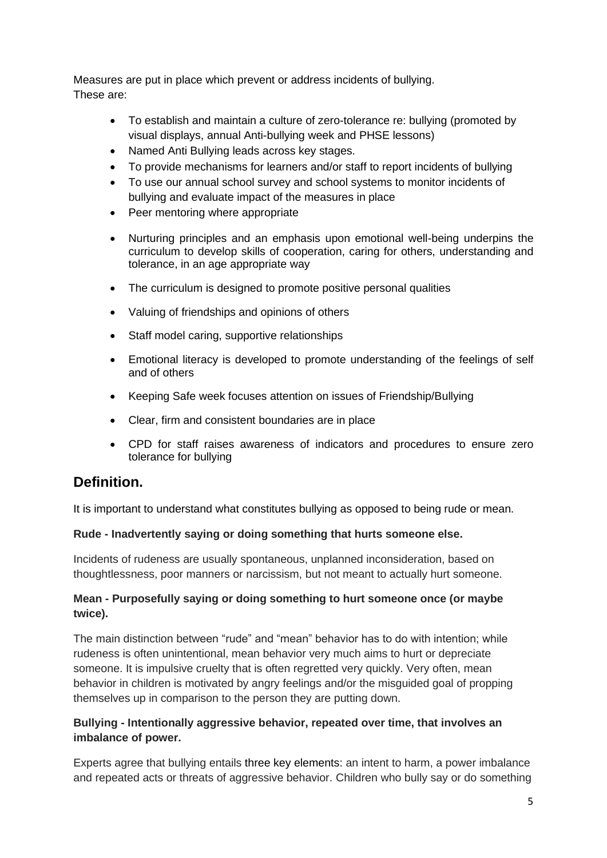Measures are put in place which prevent or address incidents of bullying. These are:

- To establish and maintain a culture of zero-tolerance re: bullying (promoted by visual displays, annual Anti-bullying week and PHSE lessons)
- Named Anti Bullying leads across key stages.
- To provide mechanisms for learners and/or staff to report incidents of bullying
- To use our annual school survey and school systems to monitor incidents of bullying and evaluate impact of the measures in place
- Peer mentoring where appropriate
- Nurturing principles and an emphasis upon emotional well-being underpins the curriculum to develop skills of cooperation, caring for others, understanding and tolerance, in an age appropriate way
- The curriculum is designed to promote positive personal qualities
- Valuing of friendships and opinions of others
- Staff model caring, supportive relationships
- Emotional literacy is developed to promote understanding of the feelings of self and of others
- Keeping Safe week focuses attention on issues of Friendship/Bullying
- Clear, firm and consistent boundaries are in place
- CPD for staff raises awareness of indicators and procedures to ensure zero tolerance for bullying

## **Definition.**

It is important to understand what constitutes bullying as opposed to being rude or mean.

#### **Rude - Inadvertently saying or doing something that hurts someone else.**

Incidents of rudeness are usually spontaneous, unplanned inconsideration, based on thoughtlessness, poor manners or narcissism, but not meant to actually hurt someone.

#### **Mean - Purposefully saying or doing something to hurt someone once (or maybe twice).**

The main distinction between "rude" and "mean" behavior has to do with intention; while rudeness is often unintentional, mean behavior very much aims to hurt or depreciate someone. It is impulsive cruelty that is often regretted very quickly. Very often, mean behavior in children is motivated by angry feelings and/or the misguided goal of propping themselves up in comparison to the person they are putting down.

#### **Bullying - Intentionally aggressive behavior, repeated over time, that involves an imbalance of power.**

Experts agree that bullying entails [three key elements:](http://www.choosito.com/blog/en/elements-of-bullying/) an intent to harm, a power imbalance and repeated acts or threats of aggressive behavior. Children who bully say or do something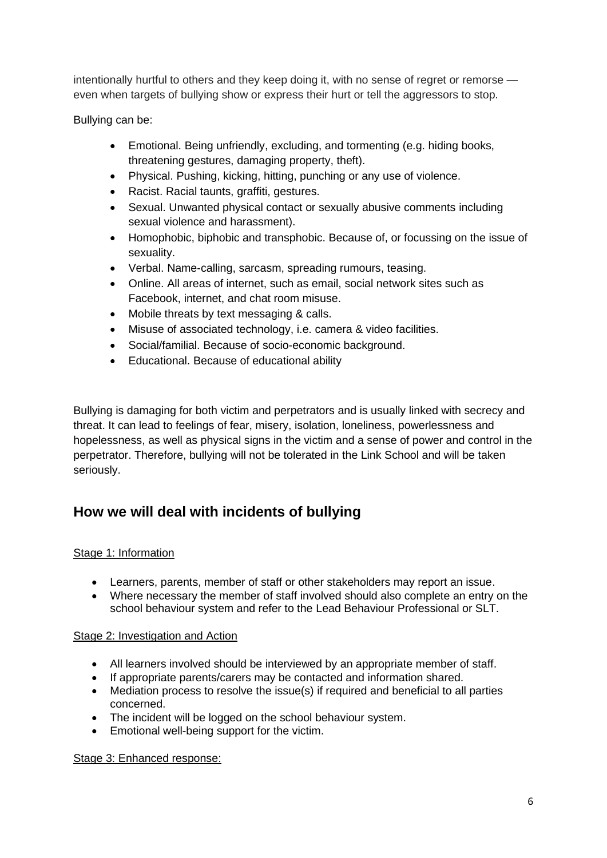intentionally hurtful to others and they keep doing it, with no sense of regret or remorse even when targets of bullying show or express their hurt or tell the aggressors to stop.

Bullying can be:

- Emotional. Being unfriendly, excluding, and tormenting (e.g. hiding books, threatening gestures, damaging property, theft).
- Physical. Pushing, kicking, hitting, punching or any use of violence.
- Racist. Racial taunts, graffiti, gestures.
- Sexual. Unwanted physical contact or sexually abusive comments including sexual violence and harassment).
- Homophobic, biphobic and transphobic. Because of, or focussing on the issue of sexuality.
- Verbal. Name-calling, sarcasm, spreading rumours, teasing.
- Online. All areas of internet, such as email, social network sites such as Facebook, internet, and chat room misuse.
- Mobile threats by text messaging & calls.
- Misuse of associated technology, i.e. camera & video facilities.
- Social/familial. Because of socio-economic background.
- Educational. Because of educational ability

Bullying is damaging for both victim and perpetrators and is usually linked with secrecy and threat. It can lead to feelings of fear, misery, isolation, loneliness, powerlessness and hopelessness, as well as physical signs in the victim and a sense of power and control in the perpetrator. Therefore, bullying will not be tolerated in the Link School and will be taken seriously.

## **How we will deal with incidents of bullying**

#### Stage 1: Information

- Learners, parents, member of staff or other stakeholders may report an issue.
- Where necessary the member of staff involved should also complete an entry on the school behaviour system and refer to the Lead Behaviour Professional or SLT.

#### Stage 2: Investigation and Action

- All learners involved should be interviewed by an appropriate member of staff.
- If appropriate parents/carers may be contacted and information shared.
- Mediation process to resolve the issue(s) if required and beneficial to all parties concerned.
- The incident will be logged on the school behaviour system.
- Emotional well-being support for the victim.

#### Stage 3: Enhanced response: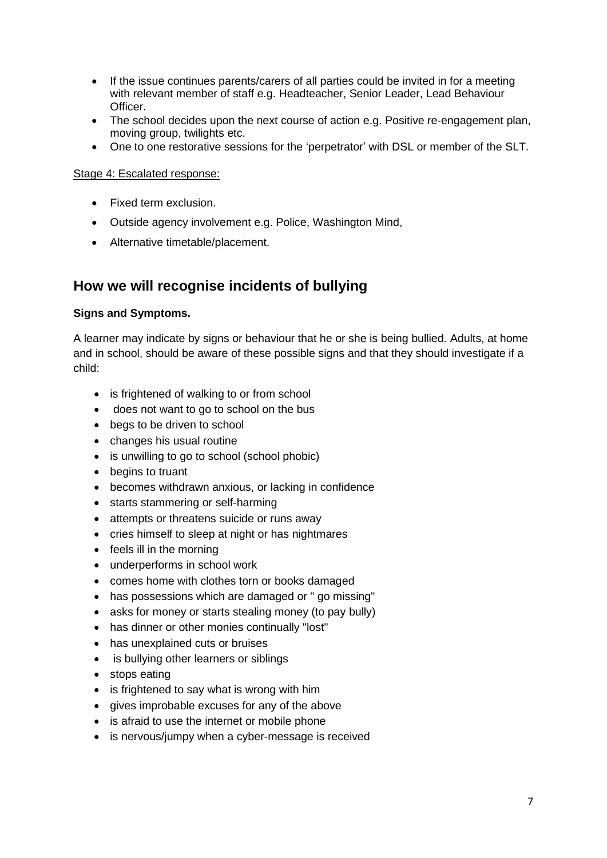- If the issue continues parents/carers of all parties could be invited in for a meeting with relevant member of staff e.g. Headteacher, Senior Leader, Lead Behaviour Officer.
- The school decides upon the next course of action e.g. Positive re-engagement plan, moving group, twilights etc.
- One to one restorative sessions for the 'perpetrator' with DSL or member of the SLT.

#### Stage 4: Escalated response:

- Fixed term exclusion.
- Outside agency involvement e.g. Police, Washington Mind,
- Alternative timetable/placement.

## **How we will recognise incidents of bullying**

#### **Signs and Symptoms.**

A learner may indicate by signs or behaviour that he or she is being bullied. Adults, at home and in school, should be aware of these possible signs and that they should investigate if a child:

- is frightened of walking to or from school
- does not want to go to school on the bus
- begs to be driven to school
- changes his usual routine
- is unwilling to go to school (school phobic)
- begins to truant
- becomes withdrawn anxious, or lacking in confidence
- starts stammering or self-harming
- attempts or threatens suicide or runs away
- cries himself to sleep at night or has nightmares
- feels ill in the morning
- underperforms in school work
- comes home with clothes torn or books damaged
- has possessions which are damaged or " go missing"
- asks for money or starts stealing money (to pay bully)
- has dinner or other monies continually "lost"
- has unexplained cuts or bruises
- is bullying other learners or siblings
- stops eating
- is frightened to say what is wrong with him
- gives improbable excuses for any of the above
- is afraid to use the internet or mobile phone
- is nervous/jumpy when a cyber-message is received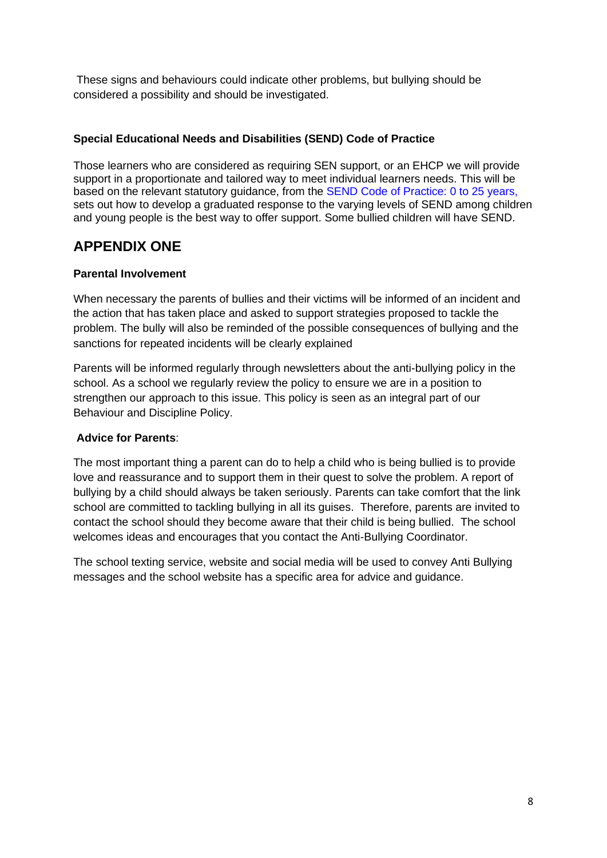These signs and behaviours could indicate other problems, but bullying should be considered a possibility and should be investigated.

#### **Special Educational Needs and Disabilities (SEND) Code of Practice**

Those learners who are considered as requiring SEN support, or an EHCP we will provide support in a proportionate and tailored way to meet individual learners needs. This will be based on the relevant statutory guidance, from the SEND Code of Practice: 0 to 25 years, sets out how to develop a graduated response to the varying levels of SEND among children and young people is the best way to offer support. Some bullied children will have SEND.

## **APPENDIX ONE**

#### **Parental Involvement**

When necessary the parents of bullies and their victims will be informed of an incident and the action that has taken place and asked to support strategies proposed to tackle the problem. The bully will also be reminded of the possible consequences of bullying and the sanctions for repeated incidents will be clearly explained

Parents will be informed regularly through newsletters about the anti-bullying policy in the school. As a school we regularly review the policy to ensure we are in a position to strengthen our approach to this issue. This policy is seen as an integral part of our Behaviour and Discipline Policy.

#### **Advice for Parents**:

The most important thing a parent can do to help a child who is being bullied is to provide love and reassurance and to support them in their quest to solve the problem. A report of bullying by a child should always be taken seriously. Parents can take comfort that the link school are committed to tackling bullying in all its guises. Therefore, parents are invited to contact the school should they become aware that their child is being bullied. The school welcomes ideas and encourages that you contact the Anti-Bullying Coordinator.

The school texting service, website and social media will be used to convey Anti Bullying messages and the school website has a specific area for advice and guidance.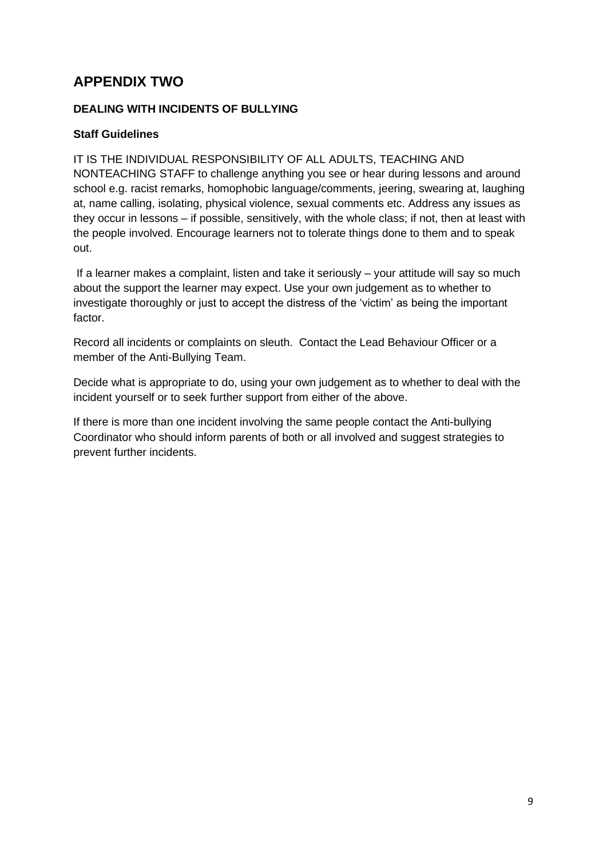## **APPENDIX TWO**

#### **DEALING WITH INCIDENTS OF BULLYING**

#### **Staff Guidelines**

IT IS THE INDIVIDUAL RESPONSIBILITY OF ALL ADULTS, TEACHING AND NONTEACHING STAFF to challenge anything you see or hear during lessons and around school e.g. racist remarks, homophobic language/comments, jeering, swearing at, laughing at, name calling, isolating, physical violence, sexual comments etc. Address any issues as they occur in lessons – if possible, sensitively, with the whole class; if not, then at least with the people involved. Encourage learners not to tolerate things done to them and to speak out.

If a learner makes a complaint, listen and take it seriously – your attitude will say so much about the support the learner may expect. Use your own judgement as to whether to investigate thoroughly or just to accept the distress of the 'victim' as being the important factor.

Record all incidents or complaints on sleuth. Contact the Lead Behaviour Officer or a member of the Anti-Bullying Team.

Decide what is appropriate to do, using your own judgement as to whether to deal with the incident yourself or to seek further support from either of the above.

If there is more than one incident involving the same people contact the Anti-bullying Coordinator who should inform parents of both or all involved and suggest strategies to prevent further incidents.